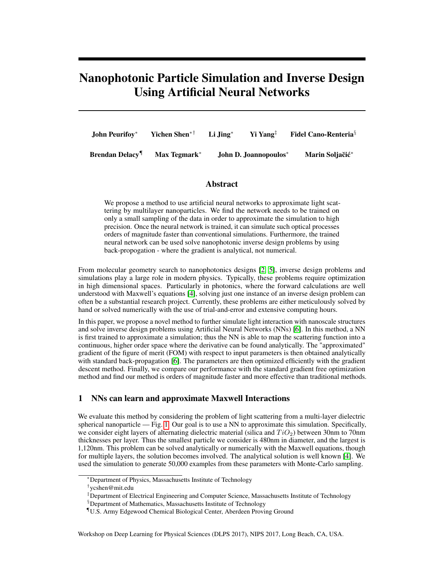# Nanophotonic Particle Simulation and Inverse Design Using Artificial Neural Networks

| <b>John Peurifov</b> *                    | Yichen Shen* <sup>†</sup> | $Li$ Jing* | $Y_i$ Yang <sup><math>\ddagger</math></sup> | <b>Fidel Cano-Renteria</b> <sup>§</sup> |
|-------------------------------------------|---------------------------|------------|---------------------------------------------|-----------------------------------------|
| <b>Brendan Delacy</b> <sup><i>I</i></sup> | Max Tegmark*              |            | John D. Joannopoulos*                       | Marin Soliačić*                         |

## Abstract

We propose a method to use artificial neural networks to approximate light scattering by multilayer nanoparticles. We find the network needs to be trained on only a small sampling of the data in order to approximate the simulation to high precision. Once the neural network is trained, it can simulate such optical processes orders of magnitude faster than conventional simulations. Furthermore, the trained neural network can be used solve nanophotonic inverse design problems by using back-propogation - where the gradient is analytical, not numerical.

From molecular geometry search to nanophotonics designs [\[2,](#page-4-0) [5\]](#page-4-1), inverse design problems and simulations play a large role in modern physics. Typically, these problems require optimization in high dimensional spaces. Particularly in photonics, where the forward calculations are well understood with Maxwell's equations [\[4\]](#page-4-2), solving just one instance of an inverse design problem can often be a substantial research project. Currently, these problems are either meticulously solved by hand or solved numerically with the use of trial-and-error and extensive computing hours.

In this paper, we propose a novel method to further simulate light interaction with nanoscale structures and solve inverse design problems using Artificial Neural Networks (NNs) [\[6\]](#page-4-3). In this method, a NN is first trained to approximate a simulation; thus the NN is able to map the scattering function into a continuous, higher order space where the derivative can be found analytically. The "approximated" gradient of the figure of merit (FOM) with respect to input parameters is then obtained analytically with standard back-propagation [\[6\]](#page-4-3). The parameters are then optimized efficiently with the gradient descent method. Finally, we compare our performance with the standard gradient free optimization method and find our method is orders of magnitude faster and more effective than traditional methods.

## 1 NNs can learn and approximate Maxwell Interactions

We evaluate this method by considering the problem of light scattering from a multi-layer dielectric spherical nanoparticle — Fig. [1.](#page-1-0) Our goal is to use a NN to approximate this simulation. Specifically, we consider eight layers of alternating dielectric material (silica and  $TiO<sub>2</sub>$ ) between 30nm to 70nm thicknesses per layer. Thus the smallest particle we consider is 480nm in diameter, and the largest is 1,120nm. This problem can be solved analytically or numerically with the Maxwell equations, though for multiple layers, the solution becomes involved. The analytical solution is well known [\[4\]](#page-4-2). We used the simulation to generate 50,000 examples from these parameters with Monte-Carlo sampling.

Workshop on Deep Learning for Physical Sciences (DLPS 2017), NIPS 2017, Long Beach, CA, USA.

<sup>∗</sup>Department of Physics, Massachusetts Institute of Technology

<sup>†</sup> ycshen@mit.edu

<sup>‡</sup>Department of Electrical Engineering and Computer Science, Massachusetts Institute of Technology

<sup>§</sup>Department of Mathematics, Massachusetts Institute of Technology

<sup>¶</sup>U.S. Army Edgewood Chemical Biological Center, Aberdeen Proving Ground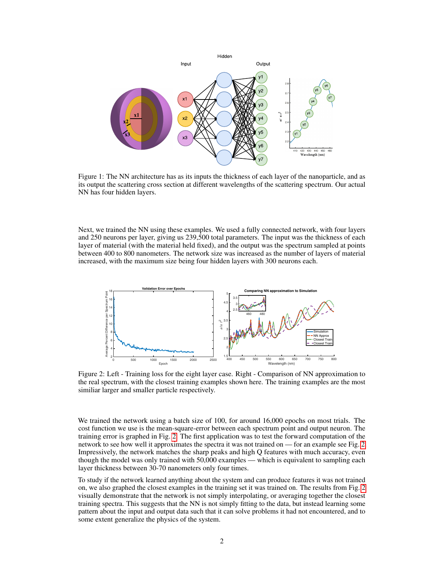<span id="page-1-0"></span>

Figure 1: The NN architecture has as its inputs the thickness of each layer of the nanoparticle, and as its output the scattering cross section at different wavelengths of the scattering spectrum. Our actual NN has four hidden layers.

Next, we trained the NN using these examples. We used a fully connected network, with four layers and 250 neurons per layer, giving us 239,500 total parameters. The input was the thickness of each layer of material (with the material held fixed), and the output was the spectrum sampled at points between 400 to 800 nanometers. The network size was increased as the number of layers of material increased, with the maximum size being four hidden layers with 300 neurons each.

<span id="page-1-1"></span>

Figure 2: Left - Training loss for the eight layer case. Right - Comparison of NN approximation to the real spectrum, with the closest training examples shown here. The training examples are the most similiar larger and smaller particle respectively.

We trained the network using a batch size of 100, for around 16,000 epochs on most trials. The cost function we use is the mean-square-error between each spectrum point and output neuron. The training error is graphed in Fig. [2.](#page-1-1) The first application was to test the forward computation of the network to see how well it approximates the spectra it was not trained on — for an example see Fig. [2.](#page-1-1) Impressively, the network matches the sharp peaks and high Q features with much accuracy, even though the model was only trained with 50,000 examples — which is equivalent to sampling each layer thickness between 30-70 nanometers only four times.

To study if the network learned anything about the system and can produce features it was not trained on, we also graphed the closest examples in the training set it was trained on. The results from Fig. [2](#page-1-1) visually demonstrate that the network is not simply interpolating, or averaging together the closest training spectra. This suggests that the NN is not simply fitting to the data, but instead learning some pattern about the input and output data such that it can solve problems it had not encountered, and to some extent generalize the physics of the system.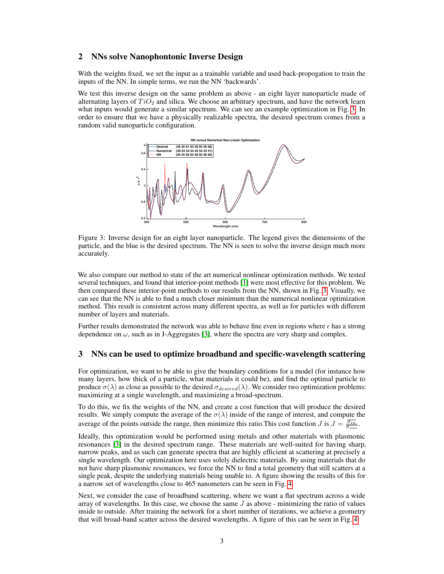#### 2 NNs solve Nanophontonic Inverse Design

With the weights fixed, we set the input as a trainable variable and used back-propogation to train the inputs of the NN. In simple terms, we run the NN 'backwards'.

<span id="page-2-0"></span>We test this inverse design on the same problem as above - an eight layer nanoparticle made of alternating layers of  $TiO<sub>2</sub>$  and silica. We choose an arbitrary spectrum, and have the network learn what inputs would generate a similar spectrum. We can see an example optimization in Fig. [3.](#page-2-0) In order to ensure that we have a physically realizable spectra, the desired spectrum comes from a random valid nanoparticle configuration.



Figure 3: Inverse design for an eight layer nanoparticle. The legend gives the dimensions of the particle, and the blue is the desired spectrum. The NN is seen to solve the inverse design much more accurately.

We also compare our method to state of the art numerical nonlinear optimization methods. We tested several techniques, and found that interior-point methods [\[1\]](#page-4-4) were most effective for this problem. We then compared these interior-point methods to our results from the NN, shown in Fig. [3.](#page-2-0) Visually, we can see that the NN is able to find a much closer minimum than the numerical nonlinear optimization method. This result is consistent across many different spectra, as well as for particles with different number of layers and materials.

Further results demonstrated the network was able to behave fine even in regions where  $\epsilon$  has a strong dependence on  $\omega$ , such as in J-Aggregates [\[3\]](#page-4-5), where the spectra are very sharp and complex.

## 3 NNs can be used to optimize broadband and specific-wavelength scattering

For optimization, we want to be able to give the boundary conditions for a model (for instance how many layers, how thick of a particle, what materials it could be), and find the optimal particle to produce  $\sigma(\lambda)$  as close as possible to the desired  $\sigma_{desired}(\lambda)$ . We consider two optimization problems: maximizing at a single wavelength, and maximizing a broad-spectrum.

To do this, we fix the weights of the NN, and create a cost function that will produce the desired results. We simply compute the average of the  $\sigma(\lambda)$  inside of the range of interest, and compute the average of the points outside the range, then minimize this ratio. This cost function J is  $J = \frac{\overline{\sigma_{in}}}{\overline{\sigma_{out}}}$ .

Ideally, this optimization would be performed using metals and other materials with plasmonic resonances [\[3\]](#page-4-5) in the desired spectrum range. These materials are well-suited for having sharp, narrow peaks, and as such can generate spectra that are highly efficient at scattering at precisely a single wavelength. Our optimization here uses solely dielectric materials. By using materials that do not have sharp plasmonic resonances, we force the NN to find a total geometry that still scatters at a single peak, despite the underlying materials being unable to. A figure showing the results of this for a narrow set of wavelengths close to 465 nanometers can be seen in Fig. [4.](#page-3-0)

Next, we consider the case of broadband scattering, where we want a flat spectrum across a wide array of wavelengths. In this case, we choose the same  $J$  as above - minimizing the ratio of values inside to outside. After training the network for a short number of iterations, we achieve a geometry that will broad-band scatter across the desired wavelengths. A figure of this can be seen in Fig. [4.](#page-3-0)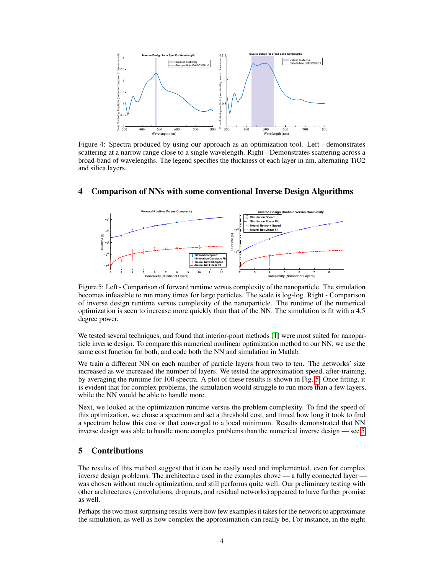<span id="page-3-0"></span>

Figure 4: Spectra produced by using our approach as an optimization tool. Left - demonstrates scattering at a narrow range close to a single wavelength. Right - Demonstrates scattering across a broad-band of wavelengths. The legend specifies the thickness of each layer in nm, alternating TiO2 and silica layers.

<span id="page-3-1"></span>

# 4 Comparison of NNs with some conventional Inverse Design Algorithms

Figure 5: Left - Comparison of forward runtime versus complexity of the nanoparticle. The simulation becomes infeasible to run many times for large particles. The scale is log-log. Right - Comparison of inverse design runtime versus complexity of the nanoparticle. The runtime of the numerical optimization is seen to increase more quickly than that of the NN. The simulation is fit with a 4.5 degree power.

We tested several techniques, and found that interior-point methods [\[1\]](#page-4-4) were most suited for nanoparticle inverse design. To compare this numerical nonlinear optimization method to our NN, we use the same cost function for both, and code both the NN and simulation in Matlab.

We train a different NN on each number of particle layers from two to ten. The networks' size increased as we increased the number of layers. We tested the approximation speed, after-training, by averaging the runtime for 100 spectra. A plot of these results is shown in Fig. [5.](#page-3-1) Once fitting, it is evident that for complex problems, the simulation would struggle to run more than a few layers, while the NN would be able to handle more.

Next, we looked at the optimization runtime versus the problem complexity. To find the speed of this optimization, we chose a spectrum and set a threshold cost, and timed how long it took to find a spectrum below this cost or that converged to a local minimum. Results demonstrated that NN inverse design was able to handle more complex problems than the numerical inverse design — see [5.](#page-3-1)

# 5 Contributions

The results of this method suggest that it can be easily used and implemented, even for complex inverse design problems. The architecture used in the examples above — a fully connected layer was chosen without much optimization, and still performs quite well. Our preliminary testing with other architectures (convolutions, dropouts, and residual networks) appeared to have further promise as well.

Perhaps the two most surprising results were how few examples it takes for the network to approximate the simulation, as well as how complex the approximation can really be. For instance, in the eight